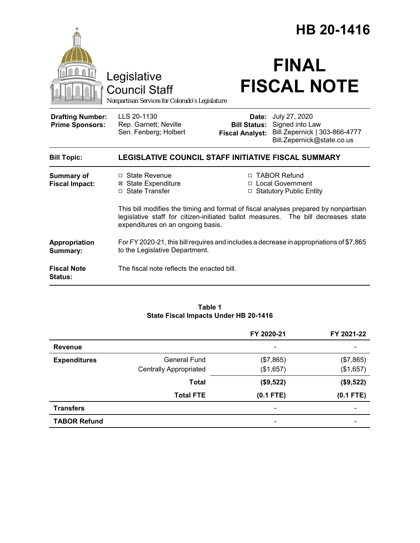|                                                                                        |                                                                                                                                                                                                               |                                               | HB 20-1416                                                                                            |
|----------------------------------------------------------------------------------------|---------------------------------------------------------------------------------------------------------------------------------------------------------------------------------------------------------------|-----------------------------------------------|-------------------------------------------------------------------------------------------------------|
| Legislative<br><b>Council Staff</b><br>Nonpartisan Services for Colorado's Legislature |                                                                                                                                                                                                               | <b>FINAL</b><br><b>FISCAL NOTE</b>            |                                                                                                       |
| <b>Drafting Number:</b><br><b>Prime Sponsors:</b>                                      | LLS 20-1130<br>Rep. Garnett; Neville<br>Sen. Fenberg; Holbert                                                                                                                                                 | <b>Bill Status:</b><br><b>Fiscal Analyst:</b> | Date: July 27, 2020<br>Signed into Law<br>Bill Zepernick   303-866-4777<br>Bill.Zepernick@state.co.us |
| <b>Bill Topic:</b>                                                                     | LEGISLATIVE COUNCIL STAFF INITIATIVE FISCAL SUMMARY                                                                                                                                                           |                                               |                                                                                                       |
| <b>Summary of</b><br><b>Fiscal Impact:</b>                                             | □ State Revenue<br><b>⊠</b> State Expenditure<br>□ State Transfer                                                                                                                                             |                                               | □ TABOR Refund<br>□ Local Government<br><b>Statutory Public Entity</b>                                |
|                                                                                        | This bill modifies the timing and format of fiscal analyses prepared by nonpartisan<br>legislative staff for citizen-initiated ballot measures. The bill decreases state<br>expenditures on an ongoing basis. |                                               |                                                                                                       |
| Appropriation<br>Summary:                                                              | For FY 2020-21, this bill requires and includes a decrease in appropriations of \$7,865<br>to the Legislative Department.                                                                                     |                                               |                                                                                                       |
| <b>Fiscal Note</b><br>Status:                                                          | The fiscal note reflects the enacted bill.                                                                                                                                                                    |                                               |                                                                                                       |

#### **Table 1 State Fiscal Impacts Under HB 20-1416**

|                     |                               | FY 2020-21               | FY 2021-22  |
|---------------------|-------------------------------|--------------------------|-------------|
| <b>Revenue</b>      |                               | $\overline{\phantom{a}}$ |             |
| <b>Expenditures</b> | General Fund                  | (\$7,865)                | (\$7,865)   |
|                     | <b>Centrally Appropriated</b> | (\$1,657)                | (\$1,657)   |
|                     | <b>Total</b>                  | (\$9,522)                | (\$9,522)   |
|                     | <b>Total FTE</b>              | $(0.1$ FTE)              | $(0.1$ FTE) |
| <b>Transfers</b>    |                               | $\overline{\phantom{a}}$ | -           |
| <b>TABOR Refund</b> |                               | ۰                        |             |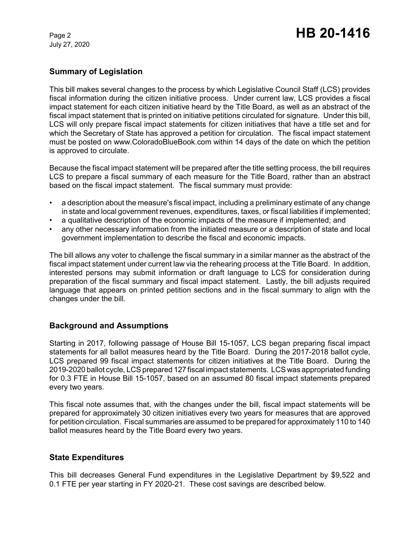July 27, 2020

# **Summary of Legislation**

This bill makes several changes to the process by which Legislative Council Staff (LCS) provides fiscal information during the citizen initiative process. Under current law, LCS provides a fiscal impact statement for each citizen initiative heard by the Title Board, as well as an abstract of the fiscal impact statement that is printed on initiative petitions circulated for signature. Under this bill, LCS will only prepare fiscal impact statements for citizen initiatives that have a title set and for which the Secretary of State has approved a petition for circulation. The fiscal impact statement must be posted on www.ColoradoBlueBook.com within 14 days of the date on which the petition is approved to circulate.

Because the fiscal impact statement will be prepared after the title setting process, the bill requires LCS to prepare a fiscal summary of each measure for the Title Board, rather than an abstract based on the fiscal impact statement. The fiscal summary must provide:

- a description about the measure's fiscal impact, including a preliminary estimate of any change in state and local government revenues, expenditures, taxes, or fiscal liabilities if implemented;
- a qualitative description of the economic impacts of the measure if implemented; and
- any other necessary information from the initiated measure or a description of state and local government implementation to describe the fiscal and economic impacts.

The bill allows any voter to challenge the fiscal summary in a similar manner as the abstract of the fiscal impact statement under current law via the rehearing process at the Title Board. In addition, interested persons may submit information or draft language to LCS for consideration during preparation of the fiscal summary and fiscal impact statement. Lastly, the bill adjusts required language that appears on printed petition sections and in the fiscal summary to align with the changes under the bill.

## **Background and Assumptions**

Starting in 2017, following passage of House Bill 15-1057, LCS began preparing fiscal impact statements for all ballot measures heard by the Title Board. During the 2017-2018 ballot cycle, LCS prepared 99 fiscal impact statements for citizen initiatives at the Title Board. During the 2019-2020 ballot cycle, LCS prepared 127 fiscal impact statements. LCS was appropriated funding for 0.3 FTE in House Bill 15-1057, based on an assumed 80 fiscal impact statements prepared every two years.

This fiscal note assumes that, with the changes under the bill, fiscal impact statements will be prepared for approximately 30 citizen initiatives every two years for measures that are approved for petition circulation. Fiscal summaries are assumed to be prepared for approximately 110 to 140 ballot measures heard by the Title Board every two years.

## **State Expenditures**

This bill decreases General Fund expenditures in the Legislative Department by \$9,522 and 0.1 FTE per year starting in FY 2020-21. These cost savings are described below.